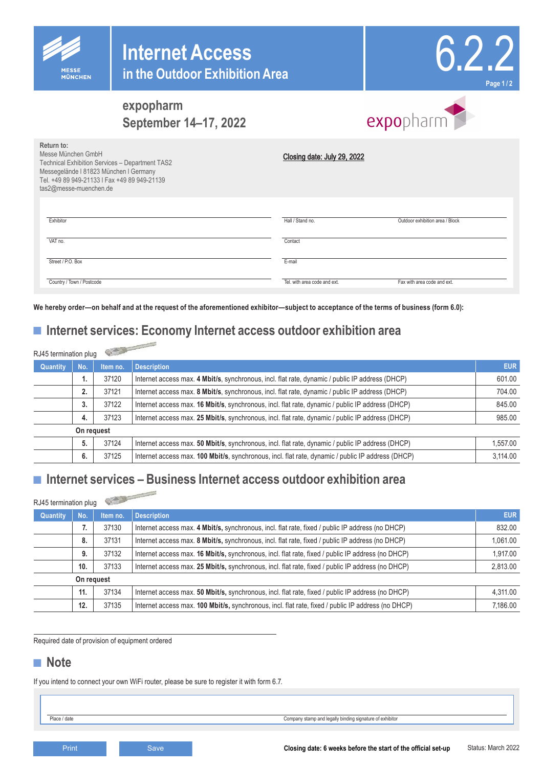



# **expopharm September 14–17, 2022**

# expopharm

| Return to:<br>Messe München GmbH<br><b>Technical Exhibition Services - Department TAS2</b><br>Messegelände I 81823 München I Germany |            |                | Closing date: July 29, 2022                                                                                                                                                                                     |                  |  |  |
|--------------------------------------------------------------------------------------------------------------------------------------|------------|----------------|-----------------------------------------------------------------------------------------------------------------------------------------------------------------------------------------------------------------|------------------|--|--|
| tas2@messe-muenchen.de                                                                                                               |            |                | Tel. +49 89 949-21133   Fax +49 89 949-21139                                                                                                                                                                    |                  |  |  |
|                                                                                                                                      |            |                |                                                                                                                                                                                                                 |                  |  |  |
|                                                                                                                                      |            |                |                                                                                                                                                                                                                 |                  |  |  |
| Exhibitor                                                                                                                            |            |                | Hall / Stand no.<br>Outdoor exhibition area / Block                                                                                                                                                             |                  |  |  |
| VAT no.                                                                                                                              |            |                | Contact                                                                                                                                                                                                         |                  |  |  |
|                                                                                                                                      |            |                |                                                                                                                                                                                                                 |                  |  |  |
| Street / P.O. Box                                                                                                                    |            |                | E-mail                                                                                                                                                                                                          |                  |  |  |
| Country / Town / Postcode                                                                                                            |            |                | Tel. with area code and ext.<br>Fax with area code and ext.                                                                                                                                                     |                  |  |  |
|                                                                                                                                      |            |                | Ve hereby order—on behalf and at the request of the aforementioned exhibitor—subject to acceptance of the terms of business (form 6.0):<br>■ Internet services: Economy Internet access outdoor exhibition area |                  |  |  |
| RJ45 termination plug                                                                                                                |            | $\sqrt{2}$     |                                                                                                                                                                                                                 |                  |  |  |
| Quantity                                                                                                                             | No.        | Item no.       | <b>Description</b>                                                                                                                                                                                              | <b>EU</b>        |  |  |
|                                                                                                                                      | 1.         | 37120          | Internet access max. 4 Mbit/s, synchronous, incl. flat rate, dynamic / public IP address (DHCP)                                                                                                                 | 601.0            |  |  |
|                                                                                                                                      | 2.         | 37121          | Internet access max. 8 Mbit/s, synchronous, incl. flat rate, dynamic / public IP address (DHCP)                                                                                                                 | 704.0            |  |  |
|                                                                                                                                      | 3.         | 37122          | Internet access max. 16 Mbit/s, synchronous, incl. flat rate, dynamic / public IP address (DHCP)                                                                                                                | 845.0            |  |  |
|                                                                                                                                      | 4.         | 37123          | Internet access max. 25 Mbit/s, synchronous, incl. flat rate, dynamic / public IP address (DHCP)                                                                                                                | 985.0            |  |  |
|                                                                                                                                      | On request |                |                                                                                                                                                                                                                 |                  |  |  |
|                                                                                                                                      | 5.         | 37124<br>37125 | Internet access max. 50 Mbit/s, synchronous, incl. flat rate, dynamic / public IP address (DHCP)                                                                                                                | 1,557.0          |  |  |
|                                                                                                                                      | 6.         |                | Internet access max. 100 Mbit/s, synchronous, incl. flat rate, dynamic / public IP address (DHCP)                                                                                                               | 3,114.0          |  |  |
|                                                                                                                                      |            |                | $\blacksquare$ Internet services – Business Internet access outdoor exhibition area                                                                                                                             |                  |  |  |
|                                                                                                                                      |            | $\mathbb{C}$   |                                                                                                                                                                                                                 |                  |  |  |
| RJ45 termination plug                                                                                                                |            |                |                                                                                                                                                                                                                 |                  |  |  |
| Quantity                                                                                                                             | No.        | Item no.       | <b>Description</b>                                                                                                                                                                                              | <b>EU</b>        |  |  |
|                                                                                                                                      | 7.<br>8.   | 37130<br>37131 | Internet access max. 4 Mbit/s, synchronous, incl. flat rate, fixed / public IP address (no DHCP)<br>Internet access max. 8 Mbit/s, synchronous, incl. flat rate, fixed / public IP address (no DHCP)            | 832.0<br>1,061.0 |  |  |
|                                                                                                                                      | 9.         | 37132          | Internet access max. 16 Mbit/s, synchronous, incl. flat rate, fixed / public IP address (no DHCP)                                                                                                               | 1,917.0          |  |  |
|                                                                                                                                      | 10.        | 37133          | Internet access max. 25 Mbit/s, synchronous, incl. flat rate, fixed / public IP address (no DHCP)                                                                                                               | 2.813.0          |  |  |
|                                                                                                                                      | On request |                |                                                                                                                                                                                                                 |                  |  |  |
|                                                                                                                                      | 11.        | 37134          | Internet access max. 50 Mbit/s, synchronous, incl. flat rate, fixed / public IP address (no DHCP)                                                                                                               | 4,311.0          |  |  |
|                                                                                                                                      | 12.        | 37135          | Internet access max. 100 Mbit/s, synchronous, incl. flat rate, fixed / public IP address (no DHCP)                                                                                                              | 7,186.0          |  |  |
| ■ Note<br>Place / date                                                                                                               |            |                | Required date of provision of equipment ordered<br>f you intend to connect your own WiFi router, please be sure to register it with form 6.7.<br>Company stamp and legally binding signature of exhibitor       |                  |  |  |
|                                                                                                                                      |            |                |                                                                                                                                                                                                                 |                  |  |  |
|                                                                                                                                      | Print      |                | Save<br>Closing date: 6 weeks before the start of the official set-up                                                                                                                                           | Status: March 20 |  |  |

# ■ **Internet services: Economy Internet access outdoor exhibition area**

| RJ45 termination plug |            |          |                                                                                                   |            |
|-----------------------|------------|----------|---------------------------------------------------------------------------------------------------|------------|
| Quantity              | No.        | Item no. | <b>Description</b>                                                                                | <b>EUR</b> |
|                       | 1.         | 37120    | Internet access max. 4 Mbit/s, synchronous, incl. flat rate, dynamic / public IP address (DHCP)   | 601.00     |
|                       |            | 37121    | Internet access max. 8 Mbit/s, synchronous, incl. flat rate, dynamic / public IP address (DHCP)   | 704.00     |
|                       | 3.         | 37122    | Internet access max. 16 Mbit/s, synchronous, incl. flat rate, dynamic / public IP address (DHCP)  | 845.00     |
|                       | 4.         | 37123    | Internet access max. 25 Mbit/s, synchronous, incl. flat rate, dynamic / public IP address (DHCP)  | 985.00     |
|                       | On request |          |                                                                                                   |            |
|                       | 5.         | 37124    | Internet access max. 50 Mbit/s, synchronous, incl. flat rate, dynamic / public IP address (DHCP)  | 1.557.00   |
|                       | 6.         | 37125    | Internet access max. 100 Mbit/s, synchronous, incl. flat rate, dynamic / public IP address (DHCP) | 3.114.00   |

## ■ **Internet services – Business Internet access outdoor exhibition area**

| RJ45 termination plug |            | Or the Montes |                                                                                                    |            |
|-----------------------|------------|---------------|----------------------------------------------------------------------------------------------------|------------|
| <b>Quantity</b>       | No.        | Item no.      | <b>Description</b>                                                                                 | <b>EUR</b> |
|                       |            | 37130         | Internet access max. 4 Mbit/s, synchronous, incl. flat rate, fixed / public IP address (no DHCP)   | 832.00     |
|                       | 8.         | 37131         | Internet access max. 8 Mbit/s, synchronous, incl. flat rate, fixed / public IP address (no DHCP)   | 1,061.00   |
|                       | 9.         | 37132         | Internet access max. 16 Mbit/s, synchronous, incl. flat rate, fixed / public IP address (no DHCP)  | 1,917.00   |
|                       | 10.        | 37133         | Internet access max. 25 Mbit/s, synchronous, incl. flat rate, fixed / public IP address (no DHCP)  | 2,813.00   |
|                       | On request |               |                                                                                                    |            |
|                       | 11.        | 37134         | Internet access max. 50 Mbit/s, synchronous, incl. flat rate, fixed / public IP address (no DHCP)  | 4,311.00   |
|                       | 12.        | 37135         | Internet access max. 100 Mbit/s, synchronous, incl. flat rate, fixed / public IP address (no DHCP) | 7,186.00   |

### **■ Note**